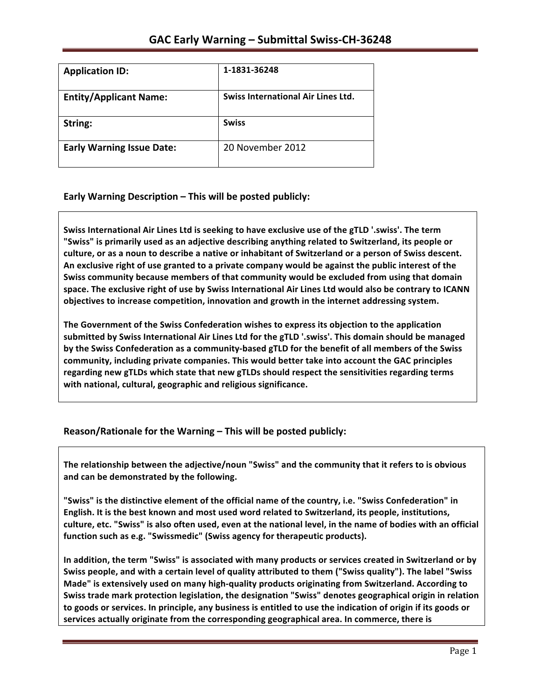| <b>Application ID:</b>           | 1-1831-36248                       |
|----------------------------------|------------------------------------|
| <b>Entity/Applicant Name:</b>    | Swiss International Air Lines Ltd. |
| String:                          | <b>Swiss</b>                       |
| <b>Early Warning Issue Date:</b> | 20 November 2012                   |

**Early Warning Description – This will be posted publicly:** 

Swiss International Air Lines Ltd is seeking to have exclusive use of the gTLD '.swiss'. The term "Swiss" is primarily used as an adjective describing anything related to Switzerland, its people or culture, or as a noun to describe a native or inhabitant of Switzerland or a person of Swiss descent. An exclusive right of use granted to a private company would be against the public interest of the Swiss community because members of that community would be excluded from using that domain space. The exclusive right of use by Swiss International Air Lines Ltd would also be contrary to ICANN objectives to increase competition, innovation and growth in the internet addressing system.

The Government of the Swiss Confederation wishes to express its objection to the application submitted by Swiss International Air Lines Ltd for the gTLD '.swiss'. This domain should be managed by the Swiss Confederation as a community-based gTLD for the benefit of all members of the Swiss community, including private companies. This would better take into account the GAC principles regarding new gTLDs which state that new gTLDs should respect the sensitivities regarding terms with national, cultural, geographic and religious significance.

### **Reason/Rationale for the Warning – This will be posted publicly:**

The relationship between the adjective/noun "Swiss" and the community that it refers to is obvious and can be demonstrated by the following.

"Swiss" is the distinctive element of the official name of the country, i.e. "Swiss Confederation" in English. It is the best known and most used word related to Switzerland, its people, institutions, culture, etc. "Swiss" is also often used, even at the national level, in the name of bodies with an official function such as e.g. "Swissmedic" (Swiss agency for therapeutic products).

In addition, the term "Swiss" is associated with many products or services created in Switzerland or by Swiss people, and with a certain level of quality attributed to them ("Swiss quality"). The label "Swiss Made" is extensively used on many high-quality products originating from Switzerland. According to Swiss trade mark protection legislation, the designation "Swiss" denotes geographical origin in relation to goods or services. In principle, any business is entitled to use the indication of origin if its goods or services actually originate from the corresponding geographical area. In commerce, there is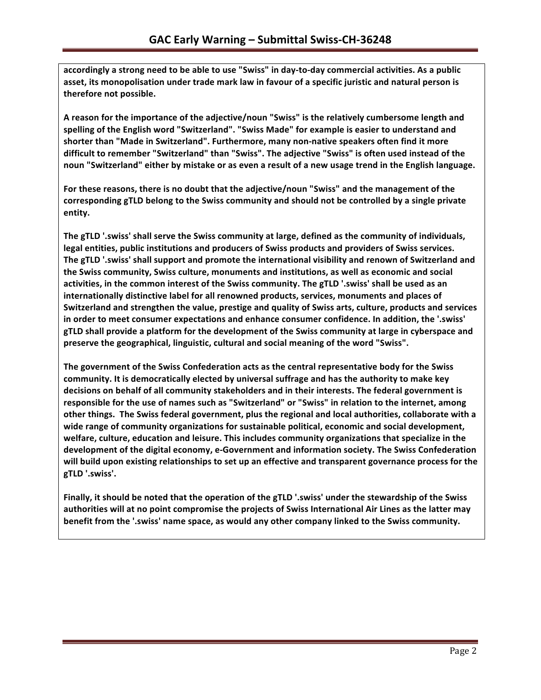accordingly a strong need to be able to use "Swiss" in day-to-day commercial activities. As a public asset, its monopolisation under trade mark law in favour of a specific juristic and natural person is therefore not possible.

A reason for the importance of the adjective/noun "Swiss" is the relatively cumbersome length and spelling of the English word "Switzerland". "Swiss Made" for example is easier to understand and shorter than "Made in Switzerland". Furthermore, many non-native speakers often find it more difficult to remember "Switzerland" than "Swiss". The adjective "Swiss" is often used instead of the noun "Switzerland" either by mistake or as even a result of a new usage trend in the English language.

For these reasons, there is no doubt that the adjective/noun "Swiss" and the management of the corresponding gTLD belong to the Swiss community and should not be controlled by a single private **entity.** 

The gTLD '.swiss' shall serve the Swiss community at large, defined as the community of individuals, legal entities, public institutions and producers of Swiss products and providers of Swiss services. The gTLD '.swiss' shall support and promote the international visibility and renown of Switzerland and the Swiss community, Swiss culture, monuments and institutions, as well as economic and social activities, in the common interest of the Swiss community. The gTLD '.swiss' shall be used as an internationally distinctive label for all renowned products, services, monuments and places of Switzerland and strengthen the value, prestige and quality of Swiss arts, culture, products and services in order to meet consumer expectations and enhance consumer confidence. In addition, the '.swiss' gTLD shall provide a platform for the development of the Swiss community at large in cyberspace and preserve the geographical, linguistic, cultural and social meaning of the word "Swiss".

The government of the Swiss Confederation acts as the central representative body for the Swiss community. It is democratically elected by universal suffrage and has the authority to make key decisions on behalf of all community stakeholders and in their interests. The federal government is responsible for the use of names such as "Switzerland" or "Swiss" in relation to the internet, among other things. The Swiss federal government, plus the regional and local authorities, collaborate with a wide range of community organizations for sustainable political, economic and social development, welfare, culture, education and leisure. This includes community organizations that specialize in the development of the digital economy, e-Government and information society. The Swiss Confederation will build upon existing relationships to set up an effective and transparent governance process for the **gTLD '.swiss'.**

Finally, it should be noted that the operation of the gTLD '.swiss' under the stewardship of the Swiss authorities will at no point compromise the projects of Swiss International Air Lines as the latter may **benefit from the '.swiss' name space, as would any other company linked to the Swiss community.**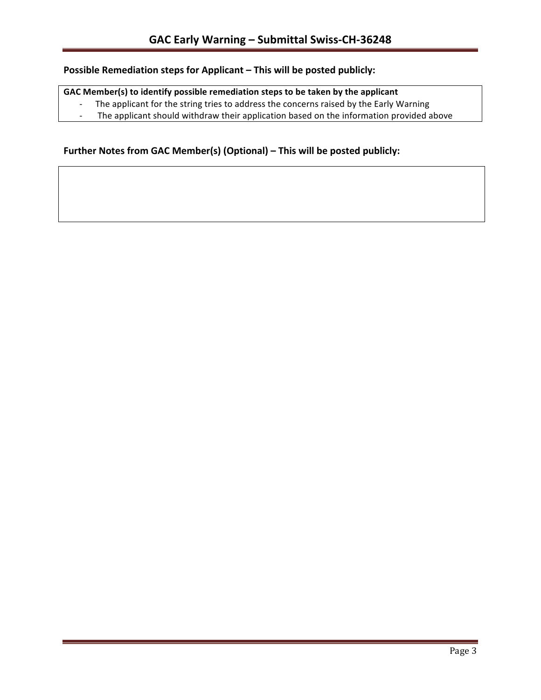# **Possible Remediation steps for Applicant – This will be posted publicly:**

### GAC Member(s) to identify possible remediation steps to be taken by the applicant

- The applicant for the string tries to address the concerns raised by the Early Warning
- The applicant should withdraw their application based on the information provided above

### **Further Notes from GAC Member(s) (Optional) – This will be posted publicly:**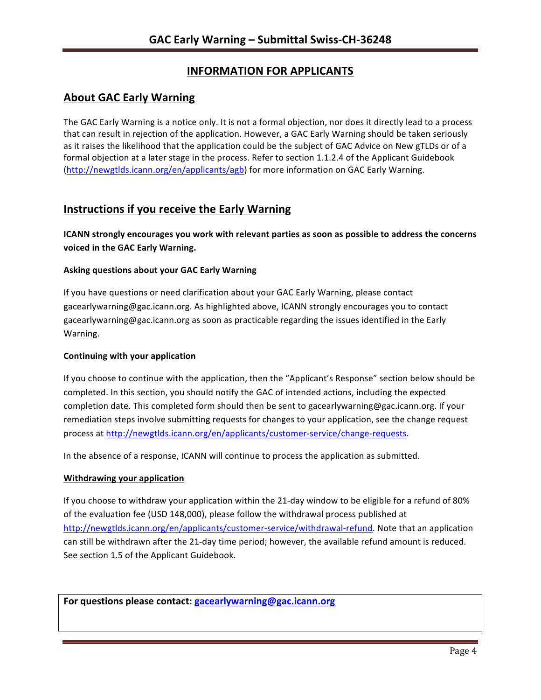# **INFORMATION FOR APPLICANTS**

## **About GAC Early Warning**

The GAC Early Warning is a notice only. It is not a formal objection, nor does it directly lead to a process that can result in rejection of the application. However, a GAC Early Warning should be taken seriously as it raises the likelihood that the application could be the subject of GAC Advice on New gTLDs or of a formal objection at a later stage in the process. Refer to section 1.1.2.4 of the Applicant Guidebook (http://newgtlds.icann.org/en/applicants/agb) for more information on GAC Early Warning.

## **Instructions if you receive the Early Warning**

**ICANN** strongly encourages you work with relevant parties as soon as possible to address the concerns **voiced in the GAC Early Warning.** 

### **Asking questions about your GAC Early Warning**

If you have questions or need clarification about your GAC Early Warning, please contact gacearlywarning@gac.icann.org. As highlighted above, ICANN strongly encourages you to contact gacearlywarning@gac.icann.org as soon as practicable regarding the issues identified in the Early Warning. 

### **Continuing with your application**

If you choose to continue with the application, then the "Applicant's Response" section below should be completed. In this section, you should notify the GAC of intended actions, including the expected completion date. This completed form should then be sent to gacearlywarning@gac.icann.org. If your remediation steps involve submitting requests for changes to your application, see the change request process at http://newgtlds.icann.org/en/applicants/customer-service/change-requests.

In the absence of a response, ICANN will continue to process the application as submitted.

### **Withdrawing your application**

If you choose to withdraw your application within the 21-day window to be eligible for a refund of 80% of the evaluation fee (USD 148,000), please follow the withdrawal process published at http://newgtlds.icann.org/en/applicants/customer-service/withdrawal-refund. Note that an application can still be withdrawn after the 21-day time period; however, the available refund amount is reduced. See section 1.5 of the Applicant Guidebook.

For questions please contact: gacearlywarning@gac.icann.org